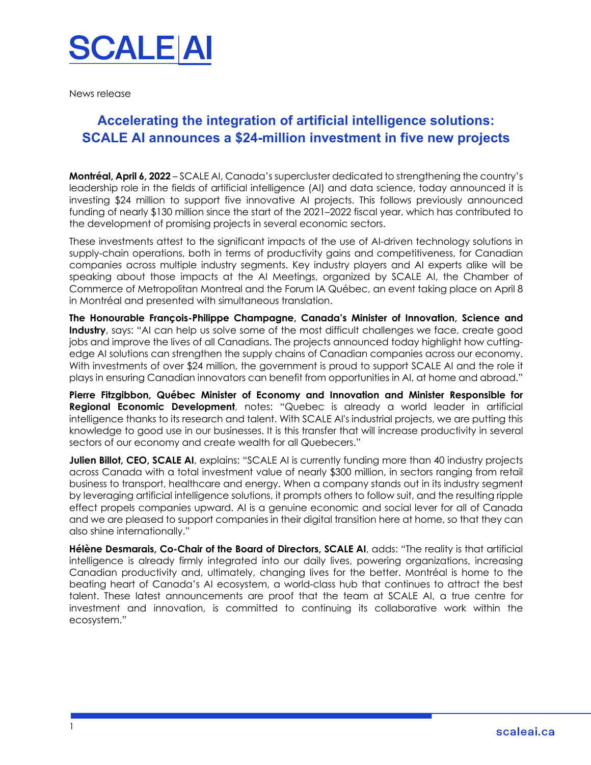

News release

## **Accelerating the integration of artificial intelligence solutions: SCALE AI announces a \$24-million investment in five new projects**

**Montréal, April 6, 2022** – SCALE AI, Canada's supercluster dedicated to strengthening the country's leadership role in the fields of artificial intelligence (AI) and data science, today announced it is investing \$24 million to support five innovative AI projects. This follows previously announced funding of nearly \$130 million since the start of the 2021–2022 fiscal year, which has contributed to the development of promising projects in several economic sectors.

These investments attest to the significant impacts of the use of AI-driven technology solutions in supply-chain operations, both in terms of productivity gains and competitiveness, for Canadian companies across multiple industry segments. Key industry players and AI experts alike will be speaking about those impacts at the AI Meetings, organized by SCALE AI, the Chamber of Commerce of Metropolitan Montreal and the Forum IA Québec, an event taking place on April 8 in Montréal and presented with simultaneous translation.

**The Honourable François-Philippe Champagne, Canada's Minister of Innovation, Science and Industry**, says: "AI can help us solve some of the most difficult challenges we face, create good jobs and improve the lives of all Canadians. The projects announced today highlight how cuttingedge AI solutions can strengthen the supply chains of Canadian companies across our economy. With investments of over \$24 million, the government is proud to support SCALE AI and the role it plays in ensuring Canadian innovators can benefit from opportunities in AI, at home and abroad."

**Pierre Fitzgibbon, Québec Minister of Economy and Innovation and Minister Responsible for Regional Economic Development**, notes: "Quebec is already a world leader in artificial intelligence thanks to its research and talent. With SCALE AI's industrial projects, we are putting this knowledge to good use in our businesses. It is this transfer that will increase productivity in several sectors of our economy and create wealth for all Quebecers."

**Julien Billot, CEO, SCALE AI**, explains: "SCALE AI is currently funding more than 40 industry projects across Canada with a total investment value of nearly \$300 million, in sectors ranging from retail business to transport, healthcare and energy. When a company stands out in its industry segment by leveraging artificial intelligence solutions, it prompts others to follow suit, and the resulting ripple effect propels companies upward. AI is a genuine economic and social lever for all of Canada and we are pleased to support companies in their digital transition here at home, so that they can also shine internationally."

**Hélène Desmarais, Co-Chair of the Board of Directors, SCALE AI**, adds: "The reality is that artificial intelligence is already firmly integrated into our daily lives, powering organizations, increasing Canadian productivity and, ultimately, changing lives for the better. Montréal is home to the beating heart of Canada's AI ecosystem, a world-class hub that continues to attract the best talent. These latest announcements are proof that the team at SCALE AI, a true centre for investment and innovation, is committed to continuing its collaborative work within the ecosystem."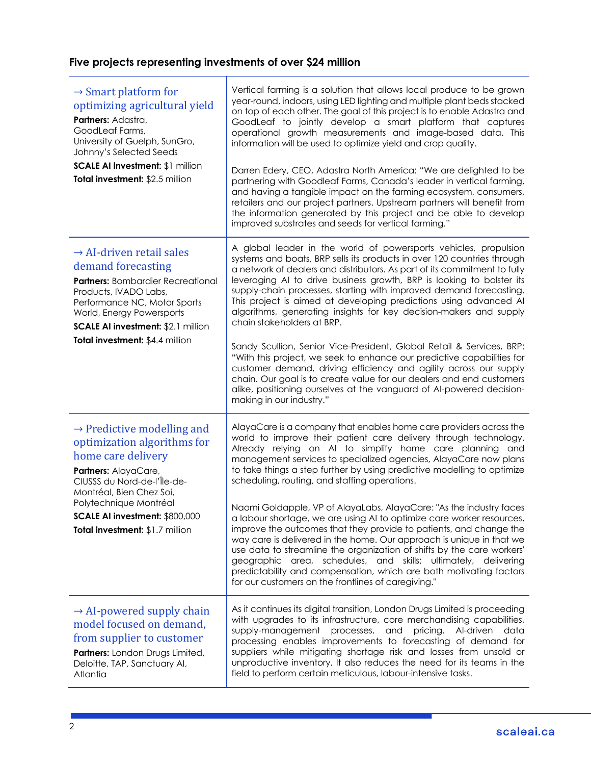## **Five projects representing investments of over \$24 million**

| $\rightarrow$ Smart platform for<br>optimizing agricultural yield<br>Partners: Adastra,<br>GoodLeaf Farms,<br>University of Guelph, SunGro,<br>Johnny's Selected Seeds<br>SCALE AI investment: \$1 million<br>Total investment: \$2.5 million                                 | Vertical farming is a solution that allows local produce to be grown<br>year-round, indoors, using LED lighting and multiple plant beds stacked<br>on top of each other. The goal of this project is to enable Adastra and<br>GoodLeaf to jointly develop a smart platform that captures<br>operational growth measurements and image-based data. This<br>information will be used to optimize yield and crop quality.<br>Darren Edery, CEO, Adastra North America: "We are delighted to be<br>partnering with Goodleaf Farms, Canada's leader in vertical farming,<br>and having a tangible impact on the farming ecosystem, consumers,<br>retailers and our project partners. Upstream partners will benefit from<br>the information generated by this project and be able to develop<br>improved substrates and seeds for vertical farming."                                                                                                                           |
|-------------------------------------------------------------------------------------------------------------------------------------------------------------------------------------------------------------------------------------------------------------------------------|---------------------------------------------------------------------------------------------------------------------------------------------------------------------------------------------------------------------------------------------------------------------------------------------------------------------------------------------------------------------------------------------------------------------------------------------------------------------------------------------------------------------------------------------------------------------------------------------------------------------------------------------------------------------------------------------------------------------------------------------------------------------------------------------------------------------------------------------------------------------------------------------------------------------------------------------------------------------------|
| $\rightarrow$ AI-driven retail sales<br>demand forecasting<br><b>Partners: Bombardier Recreational</b><br>Products, IVADO Labs,<br>Performance NC, Motor Sports<br>World, Energy Powersports<br>SCALE AI investment: \$2.1 million<br>Total investment: \$4.4 million         | A global leader in the world of powersports vehicles, propulsion<br>systems and boats, BRP sells its products in over 120 countries through<br>a network of dealers and distributors. As part of its commitment to fully<br>leveraging AI to drive business growth, BRP is looking to bolster its<br>supply-chain processes, starting with improved demand forecasting.<br>This project is aimed at developing predictions using advanced AI<br>algorithms, generating insights for key decision-makers and supply<br>chain stakeholders at BRP.<br>Sandy Scullion, Senior Vice-President, Global Retail & Services, BRP:<br>"With this project, we seek to enhance our predictive capabilities for<br>customer demand, driving efficiency and agility across our supply<br>chain. Our goal is to create value for our dealers and end customers<br>alike, positioning ourselves at the vanguard of AI-powered decision-<br>making in our industry."                      |
| $\rightarrow$ Predictive modelling and<br>optimization algorithms for<br>home care delivery<br>Partners: AlayaCare,<br>CIUSSS du Nord-de-l'Île-de-<br>Montréal, Bien Chez Soi,<br>Polytechnique Montréal<br>SCALE AI investment: \$800,000<br>Total investment: \$1.7 million | AlayaCare is a company that enables home care providers across the<br>world to improve their patient care delivery through technology.<br>Already relying on AI to simplify home care planning and<br>management services to specialized agencies, AlayaCare now plans<br>to take things a step further by using predictive modelling to optimize<br>scheduling, routing, and staffing operations.<br>Naomi Goldapple, VP of AlayaLabs, AlayaCare: "As the industry faces<br>a labour shortage, we are using AI to optimize care worker resources,<br>improve the outcomes that they provide to patients, and change the<br>way care is delivered in the home. Our approach is unique in that we<br>use data to streamline the organization of shifts by the care workers'<br>geographic area, schedules, and skills; ultimately, delivering<br>predictability and compensation, which are both motivating factors<br>for our customers on the frontlines of caregiving." |
| $\rightarrow$ AI-powered supply chain<br>model focused on demand,<br>from supplier to customer<br>Partners: London Drugs Limited,<br>Deloitte, TAP, Sanctuary AI,<br>Atlantia                                                                                                 | As it continues its digital transition, London Drugs Limited is proceeding<br>with upgrades to its infrastructure, core merchandising capabilities,<br>supply-management processes, and<br>pricing.<br>Al-driven<br>data<br>processing enables improvements to forecasting of demand for<br>suppliers while mitigating shortage risk and losses from unsold or<br>unproductive inventory. It also reduces the need for its teams in the<br>field to perform certain meticulous, labour-intensive tasks.                                                                                                                                                                                                                                                                                                                                                                                                                                                                   |